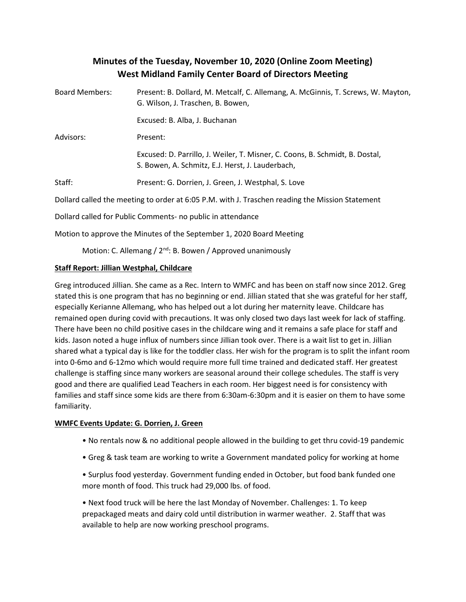# **Minutes of the Tuesday, November 10, 2020 (Online Zoom Meeting) West Midland Family Center Board of Directors Meeting**

| <b>Board Members:</b>                                                                           | Present: B. Dollard, M. Metcalf, C. Allemang, A. McGinnis, T. Screws, W. Mayton,<br>G. Wilson, J. Traschen, B. Bowen,            |
|-------------------------------------------------------------------------------------------------|----------------------------------------------------------------------------------------------------------------------------------|
|                                                                                                 | Excused: B. Alba, J. Buchanan                                                                                                    |
| Advisors:                                                                                       | Present:                                                                                                                         |
|                                                                                                 | Excused: D. Parrillo, J. Weiler, T. Misner, C. Coons, B. Schmidt, B. Dostal,<br>S. Bowen, A. Schmitz, E.J. Herst, J. Lauderbach, |
| Staff:                                                                                          | Present: G. Dorrien, J. Green, J. Westphal, S. Love                                                                              |
| Dollard called the meeting to order at 6:05 P.M. with J. Traschen reading the Mission Statement |                                                                                                                                  |
| Dollard called for Public Comments- no public in attendance                                     |                                                                                                                                  |
| Motion to approve the Minutes of the September 1, 2020 Board Meeting                            |                                                                                                                                  |
|                                                                                                 |                                                                                                                                  |

Motion: C. Allemang / 2<sup>nd</sup>: B. Bowen / Approved unanimously

## **Staff Report: Jillian Westphal, Childcare**

Greg introduced Jillian. She came as a Rec. Intern to WMFC and has been on staff now since 2012. Greg stated this is one program that has no beginning or end. Jillian stated that she was grateful for her staff, especially Kerianne Allemang, who has helped out a lot during her maternity leave. Childcare has remained open during covid with precautions. It was only closed two days last week for lack of staffing. There have been no child positive cases in the childcare wing and it remains a safe place for staff and kids. Jason noted a huge influx of numbers since Jillian took over. There is a wait list to get in. Jillian shared what a typical day is like for the toddler class. Her wish for the program is to split the infant room into 0-6mo and 6-12mo which would require more full time trained and dedicated staff. Her greatest challenge is staffing since many workers are seasonal around their college schedules. The staff is very good and there are qualified Lead Teachers in each room. Her biggest need is for consistency with families and staff since some kids are there from 6:30am-6:30pm and it is easier on them to have some familiarity.

#### **WMFC Events Update: G. Dorrien, J. Green**

- No rentals now & no additional people allowed in the building to get thru covid-19 pandemic
- Greg & task team are working to write a Government mandated policy for working at home
- Surplus food yesterday. Government funding ended in October, but food bank funded one more month of food. This truck had 29,000 lbs. of food.

• Next food truck will be here the last Monday of November. Challenges: 1. To keep prepackaged meats and dairy cold until distribution in warmer weather. 2. Staff that was available to help are now working preschool programs.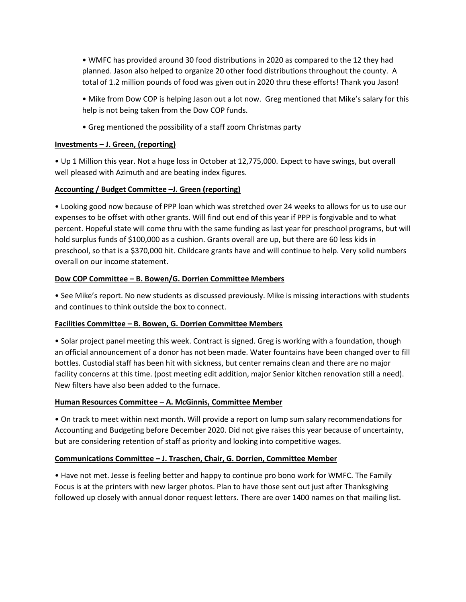• WMFC has provided around 30 food distributions in 2020 as compared to the 12 they had planned. Jason also helped to organize 20 other food distributions throughout the county. A total of 1.2 million pounds of food was given out in 2020 thru these efforts! Thank you Jason!

• Mike from Dow COP is helping Jason out a lot now. Greg mentioned that Mike's salary for this help is not being taken from the Dow COP funds.

• Greg mentioned the possibility of a staff zoom Christmas party

#### **Investments – J. Green, (reporting)**

• Up 1 Million this year. Not a huge loss in October at 12,775,000. Expect to have swings, but overall well pleased with Azimuth and are beating index figures.

## **Accounting / Budget Committee –J. Green (reporting)**

• Looking good now because of PPP loan which was stretched over 24 weeks to allows for us to use our expenses to be offset with other grants. Will find out end of this year if PPP is forgivable and to what percent. Hopeful state will come thru with the same funding as last year for preschool programs, but will hold surplus funds of \$100,000 as a cushion. Grants overall are up, but there are 60 less kids in preschool, so that is a \$370,000 hit. Childcare grants have and will continue to help. Very solid numbers overall on our income statement.

#### **Dow COP Committee – B. Bowen/G. Dorrien Committee Members**

• See Mike's report. No new students as discussed previously. Mike is missing interactions with students and continues to think outside the box to connect.

#### **Facilities Committee – B. Bowen, G. Dorrien Committee Members**

• Solar project panel meeting this week. Contract is signed. Greg is working with a foundation, though an official announcement of a donor has not been made. Water fountains have been changed over to fill bottles. Custodial staff has been hit with sickness, but center remains clean and there are no major facility concerns at this time. (post meeting edit addition, major Senior kitchen renovation still a need). New filters have also been added to the furnace.

#### **Human Resources Committee – A. McGinnis, Committee Member**

• On track to meet within next month. Will provide a report on lump sum salary recommendations for Accounting and Budgeting before December 2020. Did not give raises this year because of uncertainty, but are considering retention of staff as priority and looking into competitive wages.

#### **Communications Committee – J. Traschen, Chair, G. Dorrien, Committee Member**

• Have not met. Jesse is feeling better and happy to continue pro bono work for WMFC. The Family Focus is at the printers with new larger photos. Plan to have those sent out just after Thanksgiving followed up closely with annual donor request letters. There are over 1400 names on that mailing list.